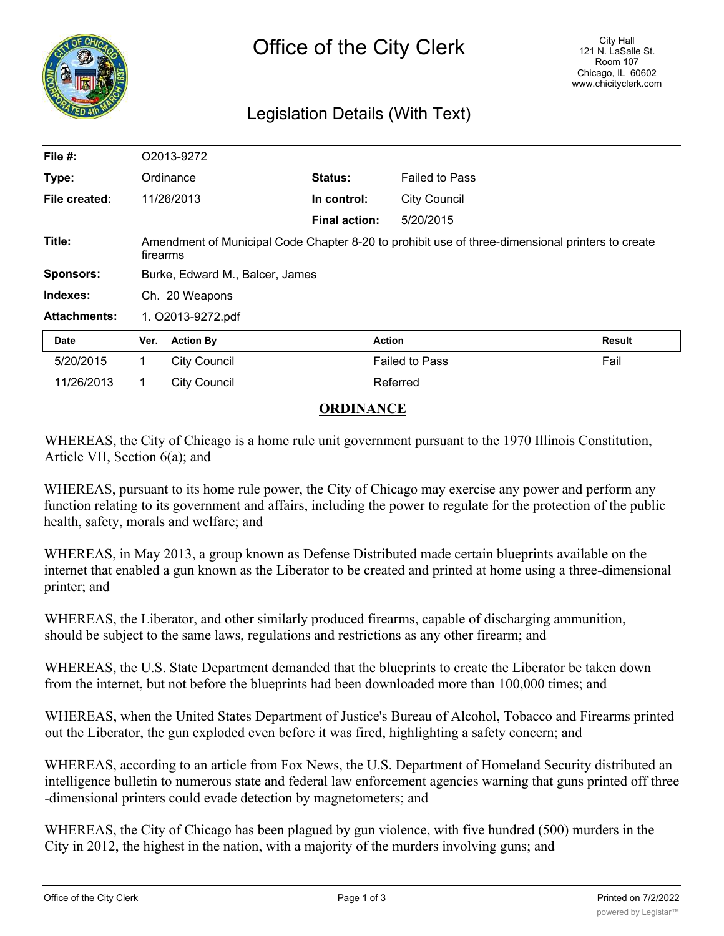

# Legislation Details (With Text)

| File $#$ :          | O2013-9272                                                                                                   |                     |                      |                       |               |
|---------------------|--------------------------------------------------------------------------------------------------------------|---------------------|----------------------|-----------------------|---------------|
| Type:               | Ordinance                                                                                                    |                     | Status:              | <b>Failed to Pass</b> |               |
| File created:       | 11/26/2013                                                                                                   |                     | In control:          | <b>City Council</b>   |               |
|                     |                                                                                                              |                     | <b>Final action:</b> | 5/20/2015             |               |
| Title:              | Amendment of Municipal Code Chapter 8-20 to prohibit use of three-dimensional printers to create<br>firearms |                     |                      |                       |               |
| <b>Sponsors:</b>    | Burke, Edward M., Balcer, James                                                                              |                     |                      |                       |               |
| Indexes:            | Ch. 20 Weapons                                                                                               |                     |                      |                       |               |
| <b>Attachments:</b> | 1. O2013-9272.pdf                                                                                            |                     |                      |                       |               |
| <b>Date</b>         | Ver.                                                                                                         | <b>Action By</b>    |                      | <b>Action</b>         | <b>Result</b> |
| 5/20/2015           | 1                                                                                                            | <b>City Council</b> |                      | <b>Failed to Pass</b> | Fail          |
| 11/26/2013          | 1.                                                                                                           | <b>City Council</b> |                      | Referred              |               |

## **ORDINANCE**

WHEREAS, the City of Chicago is a home rule unit government pursuant to the 1970 Illinois Constitution, Article VII, Section 6(a); and

WHEREAS, pursuant to its home rule power, the City of Chicago may exercise any power and perform any function relating to its government and affairs, including the power to regulate for the protection of the public health, safety, morals and welfare; and

WHEREAS, in May 2013, a group known as Defense Distributed made certain blueprints available on the internet that enabled a gun known as the Liberator to be created and printed at home using a three-dimensional printer; and

WHEREAS, the Liberator, and other similarly produced firearms, capable of discharging ammunition, should be subject to the same laws, regulations and restrictions as any other firearm; and

WHEREAS, the U.S. State Department demanded that the blueprints to create the Liberator be taken down from the internet, but not before the blueprints had been downloaded more than 100,000 times; and

WHEREAS, when the United States Department of Justice's Bureau of Alcohol, Tobacco and Firearms printed out the Liberator, the gun exploded even before it was fired, highlighting a safety concern; and

WHEREAS, according to an article from Fox News, the U.S. Department of Homeland Security distributed an intelligence bulletin to numerous state and federal law enforcement agencies warning that guns printed off three -dimensional printers could evade detection by magnetometers; and

WHEREAS, the City of Chicago has been plagued by gun violence, with five hundred (500) murders in the City in 2012, the highest in the nation, with a majority of the murders involving guns; and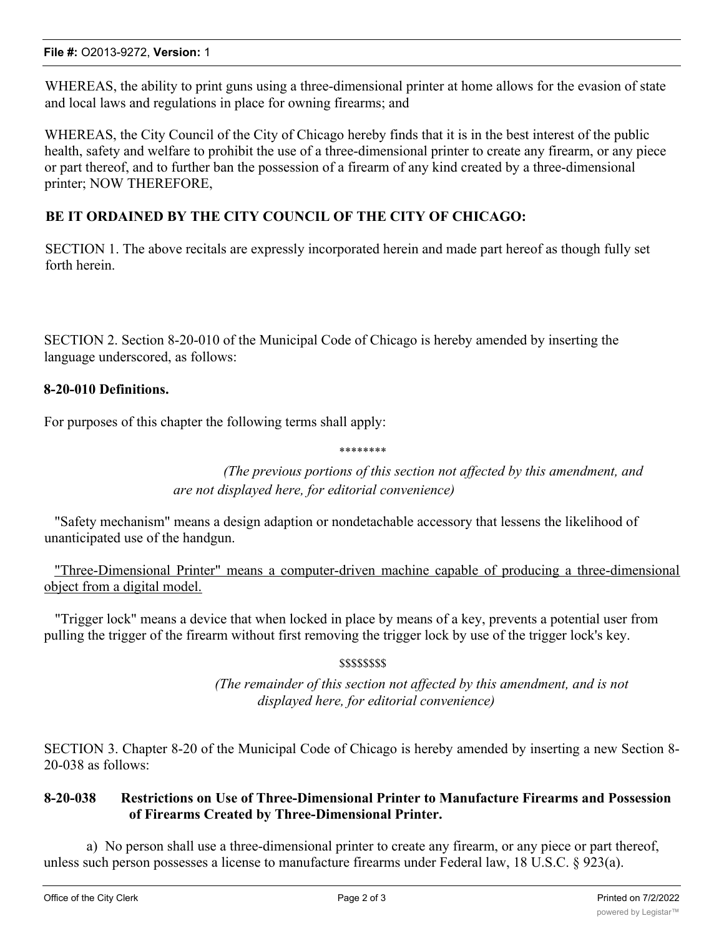WHEREAS, the ability to print guns using a three-dimensional printer at home allows for the evasion of state and local laws and regulations in place for owning firearms; and

WHEREAS, the City Council of the City of Chicago hereby finds that it is in the best interest of the public health, safety and welfare to prohibit the use of a three-dimensional printer to create any firearm, or any piece or part thereof, and to further ban the possession of a firearm of any kind created by a three-dimensional printer; NOW THEREFORE,

# **BE IT ORDAINED BY THE CITY COUNCIL OF THE CITY OF CHICAGO:**

SECTION 1. The above recitals are expressly incorporated herein and made part hereof as though fully set forth herein.

SECTION 2. Section 8-20-010 of the Municipal Code of Chicago is hereby amended by inserting the language underscored, as follows:

## **8-20-010 Definitions.**

For purposes of this chapter the following terms shall apply:

\*\*\*\*\*\*\*\*

*(The previous portions of this section not affected by this amendment, and are not displayed here, for editorial convenience)*

"Safety mechanism" means a design adaption or nondetachable accessory that lessens the likelihood of unanticipated use of the handgun.

"Three-Dimensional Printer" means a computer-driven machine capable of producing a three-dimensional object from a digital model.

"Trigger lock" means a device that when locked in place by means of a key, prevents a potential user from pulling the trigger of the firearm without first removing the trigger lock by use of the trigger lock's key.

\$\$\$\$\$\$\$\$

*(The remainder of this section not affected by this amendment, and is not displayed here, for editorial convenience)*

SECTION 3. Chapter 8-20 of the Municipal Code of Chicago is hereby amended by inserting a new Section 8- 20-038 as follows:

#### **8-20-038 Restrictions on Use of Three-Dimensional Printer to Manufacture Firearms and Possession of Firearms Created by Three-Dimensional Printer.**

a) No person shall use a three-dimensional printer to create any firearm, or any piece or part thereof, unless such person possesses a license to manufacture firearms under Federal law, 18 U.S.C. § 923(a).